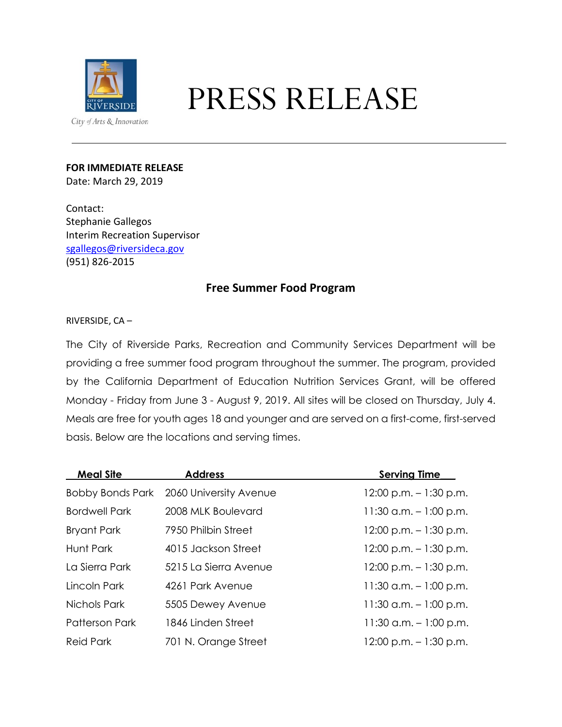

# PRESS RELEASE

## **FOR IMMEDIATE RELEASE**

Date: March 29, 2019

Contact: Stephanie Gallegos Interim Recreation Supervisor [sgallegos@riversideca.gov](mailto:sgallegos@riversideca.gov) (951) 826-2015

## **Free Summer Food Program**

### RIVERSIDE, CA –

The City of Riverside Parks, Recreation and Community Services Department will be providing a free summer food program throughout the summer. The program, provided by the California Department of Education Nutrition Services Grant, will be offered Monday - Friday from June 3 - August 9, 2019. All sites will be closed on Thursday, July 4. Meals are free for youth ages 18 and younger and are served on a first-come, first-served basis. Below are the locations and serving times.

| <b>Meal Site</b>        | <b>Address</b>         | <b>Serving Time</b>       |
|-------------------------|------------------------|---------------------------|
| <b>Bobby Bonds Park</b> | 2060 University Avenue | $12:00$ p.m. $-1:30$ p.m. |
| <b>Bordwell Park</b>    | 2008 MLK Boulevard     | $11:30$ a.m. $-1:00$ p.m. |
| <b>Bryant Park</b>      | 7950 Philbin Street    | $12:00$ p.m. $-1:30$ p.m. |
| Hunt Park               | 4015 Jackson Street    | $12:00$ p.m. $-1:30$ p.m. |
| La Sierra Park          | 5215 La Sierra Avenue  | $12:00$ p.m. $-1:30$ p.m. |
| Lincoln Park            | 4261 Park Avenue       | $11:30$ a.m. $-1:00$ p.m. |
| Nichols Park            | 5505 Dewey Avenue      | $11:30$ a.m. $-1:00$ p.m. |
| <b>Patterson Park</b>   | 1846 Linden Street     | $11:30$ a.m. $-1:00$ p.m. |
| <b>Reid Park</b>        | 701 N. Orange Street   | $12:00$ p.m. $-1:30$ p.m. |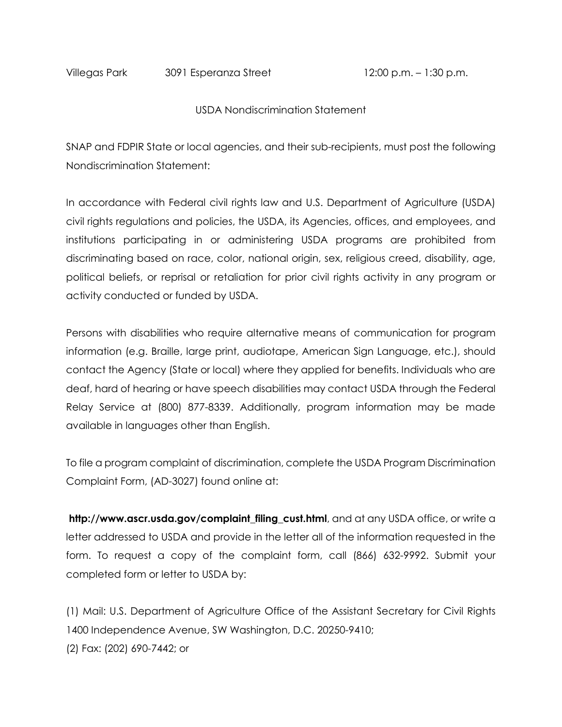Villegas Park 3091 Esperanza Street 12:00 p.m. – 1:30 p.m.

#### USDA Nondiscrimination Statement

SNAP and FDPIR State or local agencies, and their sub-recipients, must post the following Nondiscrimination Statement:

In accordance with Federal civil rights law and U.S. Department of Agriculture (USDA) civil rights regulations and policies, the USDA, its Agencies, offices, and employees, and institutions participating in or administering USDA programs are prohibited from discriminating based on race, color, national origin, sex, religious creed, disability, age, political beliefs, or reprisal or retaliation for prior civil rights activity in any program or activity conducted or funded by USDA.

Persons with disabilities who require alternative means of communication for program information (e.g. Braille, large print, audiotape, American Sign Language, etc.), should contact the Agency (State or local) where they applied for benefits. Individuals who are deaf, hard of hearing or have speech disabilities may contact USDA through the Federal Relay Service at (800) 877-8339. Additionally, program information may be made available in languages other than English.

To file a program complaint of discrimination, complete the USDA Program Discrimination Complaint Form, (AD-3027) found online at:

**http://www.ascr.usda.gov/complaint\_filing\_cust.html**, and at any USDA office, or write a letter addressed to USDA and provide in the letter all of the information requested in the form. To request a copy of the complaint form, call (866) 632-9992. Submit your completed form or letter to USDA by:

(1) Mail: U.S. Department of Agriculture Office of the Assistant Secretary for Civil Rights 1400 Independence Avenue, SW Washington, D.C. 20250-9410; (2) Fax: (202) 690-7442; or